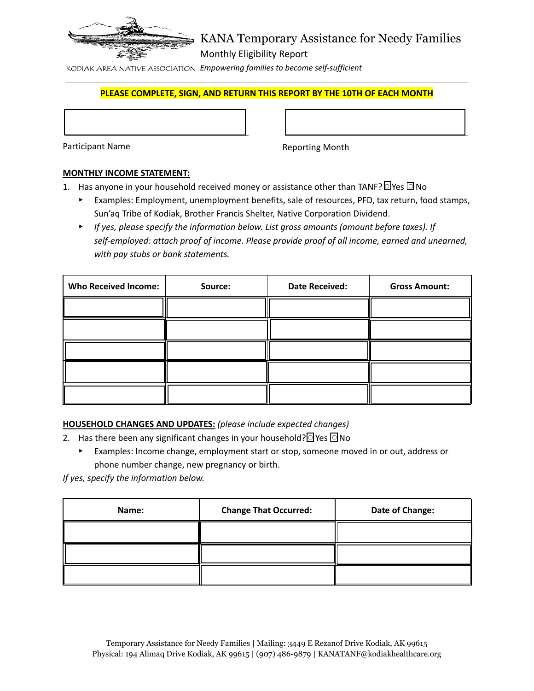

# KANA Temporary Assistance for Needy Families

Monthly Eligibility Report

*Empowering families to become self-sufficient*

## **PLEASE COMPLETE, SIGN, AND RETURN THIS REPORT BY THE 10TH OF EACH MONTH**

Participant Name **Reporting Month** 

## **MONTHLY INCOME STATEMENT:**

- 1. Has anyone in your household received money or assistance other than TANF? DYes DNo
	- ▸ Examples: Employment, unemployment benefits, sale of resources, PFD, tax return, food stamps, Sun'aq Tribe of Kodiak, Brother Francis Shelter, Native Corporation Dividend.
	- ▸ *If yes, please specify the information below. List gross amounts (amount before taxes). If self-employed: attach proof of income. Please provide proof of all income, earned and unearned, with pay stubs or bank statements.*

| <b>Who Received Income:</b> | Source: | <b>Date Received:</b> | <b>Gross Amount:</b> |
|-----------------------------|---------|-----------------------|----------------------|
|                             |         |                       |                      |
|                             |         |                       |                      |
|                             |         |                       |                      |
|                             |         |                       |                      |
|                             |         |                       |                      |

# **HOUSEHOLD CHANGES AND UPDATES:** *(please include expected changes)*

- 2. Has there been any significant changes in your household? $\Box$  Yes  $\Box$  No
	- ▸ Examples: Income change, employment start or stop, someone moved in or out, address or phone number change, new pregnancy or birth.

*If yes, specify the information below.*

| Name: | <b>Change That Occurred:</b> | Date of Change: |
|-------|------------------------------|-----------------|
|       |                              |                 |
|       |                              |                 |
|       |                              |                 |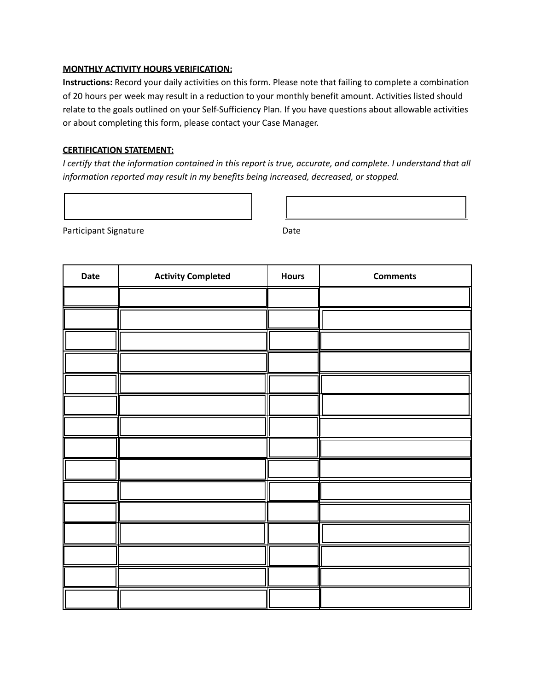## **MONTHLY ACTIVITY HOURS VERIFICATION:**

**Instructions:** Record your daily activities on this form. Please note that failing to complete a combination of 20 hours per week may result in a reduction to your monthly benefit amount. Activities listed should relate to the goals outlined on your Self-Sufficiency Plan. If you have questions about allowable activities or about completing this form, please contact your Case Manager.

## **CERTIFICATION STATEMENT:**

*I certify that the information contained in this report is true, accurate, and complete. I understand that all information reported may result in my benefits being increased, decreased, or stopped.*

Participant Signature Date

| Date | <b>Activity Completed</b> | <b>Hours</b> | <b>Comments</b> |
|------|---------------------------|--------------|-----------------|
|      |                           |              |                 |
|      |                           |              |                 |
|      |                           |              |                 |
|      |                           |              |                 |
|      |                           |              |                 |
|      |                           |              |                 |
|      |                           |              |                 |
|      |                           |              |                 |
|      |                           |              |                 |
|      |                           |              |                 |
|      |                           |              |                 |
|      |                           |              |                 |
|      |                           |              |                 |
|      |                           |              |                 |
|      |                           |              |                 |